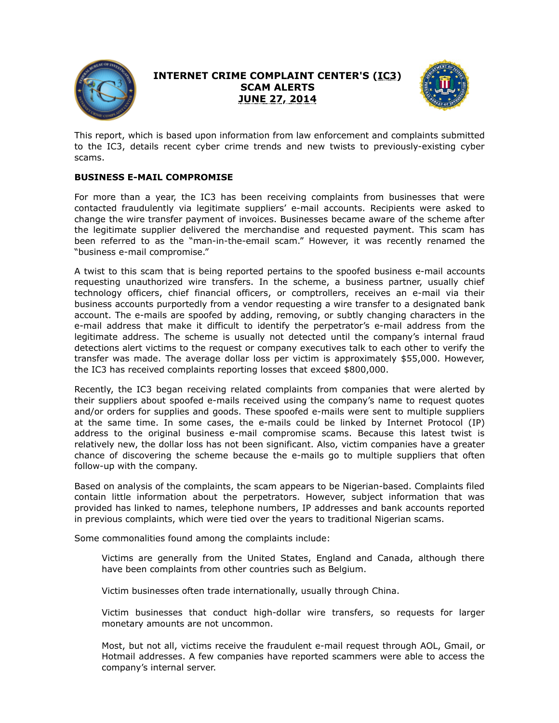

## **INTERNET CRIME COMPLAINT CENTER'S (IC3) SCAM ALERTS JUNE 27, 2014**



This report, which is based upon information from law enforcement and complaints submitted to the IC3, details recent cyber crime trends and new twists to previously-existing cyber scams.

## **BUSINESS E-MAIL COMPROMISE**

For more than a year, the IC3 has been receiving complaints from businesses that were contacted fraudulently via legitimate suppliers' e-mail accounts. Recipients were asked to change the wire transfer payment of invoices. Businesses became aware of the scheme after the legitimate supplier delivered the merchandise and requested payment. This scam has been referred to as the "man-in-the-email scam." However, it was recently renamed the "business e-mail compromise."

A twist to this scam that is being reported pertains to the spoofed business e-mail accounts requesting unauthorized wire transfers. In the scheme, a business partner, usually chief technology officers, chief financial officers, or comptrollers, receives an e-mail via their business accounts purportedly from a vendor requesting a wire transfer to a designated bank account. The e-mails are spoofed by adding, removing, or subtly changing characters in the e-mail address that make it difficult to identify the perpetrator's e-mail address from the legitimate address. The scheme is usually not detected until the company's internal fraud detections alert victims to the request or company executives talk to each other to verify the transfer was made. The average dollar loss per victim is approximately \$55,000. However, the IC3 has received complaints reporting losses that exceed \$800,000.

Recently, the IC3 began receiving related complaints from companies that were alerted by their suppliers about spoofed e-mails received using the company's name to request quotes and/or orders for supplies and goods. These spoofed e-mails were sent to multiple suppliers at the same time. In some cases, the e-mails could be linked by Internet Protocol (IP) address to the original business e-mail compromise scams. Because this latest twist is relatively new, the dollar loss has not been significant. Also, victim companies have a greater chance of discovering the scheme because the e-mails go to multiple suppliers that often follow-up with the company.

Based on analysis of the complaints, the scam appears to be Nigerian-based. Complaints filed contain little information about the perpetrators. However, subject information that was provided has linked to names, telephone numbers, IP addresses and bank accounts reported in previous complaints, which were tied over the years to traditional Nigerian scams.

Some commonalities found among the complaints include:

Victims are generally from the United States, England and Canada, although there have been complaints from other countries such as Belgium.

Victim businesses often trade internationally, usually through China.

Victim businesses that conduct high-dollar wire transfers, so requests for larger monetary amounts are not uncommon.

Most, but not all, victims receive the fraudulent e-mail request through AOL, Gmail, or Hotmail addresses. A few companies have reported scammers were able to access the company's internal server.